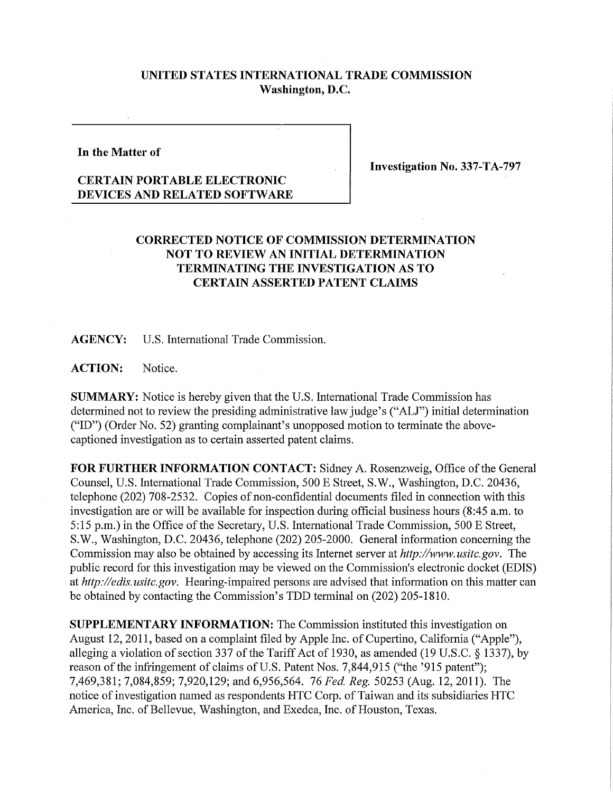## **UNITED STATES INTERNATIONAL TRADE COMMISSION Washington, D.C.**

**In the Matter of** 

**Investigation No. 337-TA-797** 

## **CERTAIN PORTABLE ELECTRONIC DEVICES AND RELATED SOFTWARE**

## **CORRECTED NOTICE OF COMMISSION DETERMINATION NOT TO REVIEW AN INITIAL DETERMINATION TERMINATING THE INVESTIGATION AS TO CERTAIN ASSERTED PATENT CLAIMS**

**AGENCY:** U.S. International Trade Commission.

**ACTION:** Notice.

**SUMMARY:** Notice is hereby given that the U.S. International Trade Commission has determined not to review the presiding administrative law judge's ("ALJ") initial determination ("ID") (Order No. 52) granting complainant's unopposed motion to terminate the abovecaptioned investigation as to certain asserted patent claims.

FOR FURTHER INFORMATION CONTACT: Sidney A. Rosenzweig, Office of the General Counsel, U.S. International Trade Commission, 500 E Street, S.W., Washington, D.C. 20436, telephone (202) 708-2532. Copies of non-confidential documents filed in connection with this investigation are or will be available for inspection during official business hours (8:45 a.m. to 5:15 p.m.) in the Office of the Secretary, U.S. International Trade Commission, 500 E Street, S.W., Washington, D.C. 20436, telephone (202) 205-2000. General information concerning the Commission may also be obtained by accessing its Internet server at *http://www.usitc.gov.* The public record for this investigation may be viewed on the Commission's electronic docket (EDIS) at *http://edis. usitc.gov.* Hearing-impaired persons are advised that information on this matter can be obtained by contacting the Commission's TDD terminal on (202) 205-1810.

**SUPPLEMENTARY INFORMATION:** The Commission instituted this investigation on August 12,2011, based on a complaint filed by Apple Inc. of Cupertino, Califomia ("Apple"), alleging a violation of section 337 of the Tariff Act of 1930, as amended (19 U.S.C. § 1337), by reason of the infringement of claims of U.S. Patent Nos. 7,844,915 ("the '915 patent"); 7,469,381; 7,084,859; 7,920,129; and 6,956,564. 76 *Fed. Reg.* 50253 (Aug. 12, 2011). The notice of investigation named as respondents HTC Corp. of Taiwan and its subsidiaries HTC America, Inc. of Bellevue, Washington, and Exedea, Inc. of Houston, Texas.